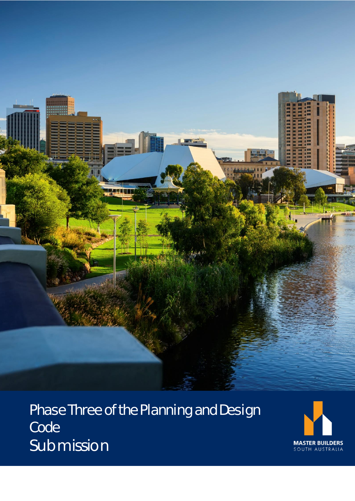

Phase Three of the Planning and Design Code Submission

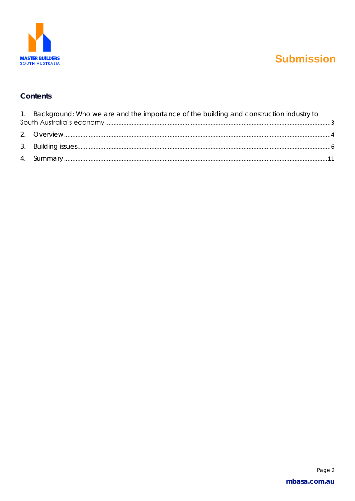

### Contents

| 1. Background: Who we are and the importance of the building and construction industry to |  |
|-------------------------------------------------------------------------------------------|--|
|                                                                                           |  |
|                                                                                           |  |
|                                                                                           |  |
|                                                                                           |  |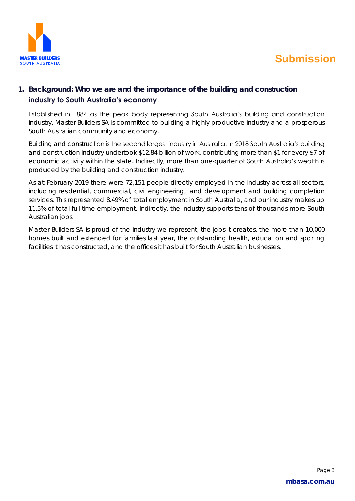

### <span id="page-2-0"></span>**1. Background: Who we are and the importance of the building and construction**

#### **industry to South Australia's economy**

Established in 1884 as the peak body representing South Australia's building and construction industry, Master Builders SA is committed to building a highly productive industry and a prosperous South Australian community and economy.

Building and construction is the second largest industry in Australia. In 2018 South Australia's building and construction industry undertook \$12.84 billion of work, contributing more than \$1 for every \$7 of economic activity within the state. Indirectly, more than one-quarter of South Australia's wealth is produced by the building and construction industry.

As at February 2019 there were 72,151 people directly employed in the industry across all sectors, including residential, commercial, civil engineering, land development and building completion services. This represented 8.49% of total employment in South Australia, and our industry makes up 11.5% of total full-time employment. Indirectly, the industry supports tens of thousands more South Australian jobs.

Master Builders SA is proud of the industry we represent, the jobs it creates, the more than 10,000 homes built and extended for families last year, the outstanding health, education and sporting facilities it has constructed, and the offices it has built for South Australian businesses.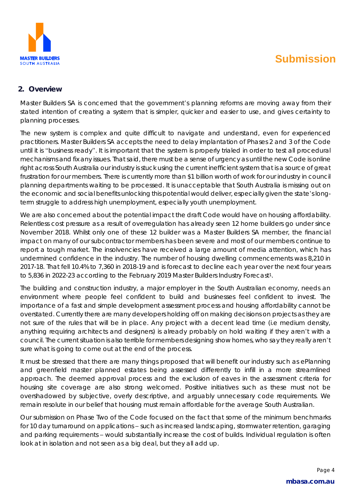

#### <span id="page-3-0"></span>**2. Overview**

Master Builders SA is concerned that the government's planning reforms are moving away from their stated intention of creating a system that is simpler, quicker and easier to use, and gives certainty to planning processes.

The new system is complex and quite difficult to navigate and understand, even for experienced practitioners. Master Builders SA accepts the need to delay implantation of Phases 2 and 3 of the Code until it is "business ready". It is important that the system is properly trialed in order to test all procedural mechanisms and fix any issues. That said, there must be a sense of urgency as until the new Code is online right across South Australia our industry is stuck using the current inefficient system that is a source of great frustration for our members. There is currently more than \$1 billion worth of work for our industry in council planning departments waiting to be processed. It is unacceptable that South Australia is missing out on the economic and social benefits unlocking this potential would deliver, especially given the state's longterm struggle to address high unemployment, especially youth unemployment.

We are also concerned about the potential impact the draft Code would have on housing affordability. Relentless cost pressure as a result of overregulation has already seen 12 home builders go under since November 2018. Whilst only one of these 12 builder was a Master Builders SA member, the financial impact on many of our subcontractor members has been severe and most of our members continue to report a tough market. The insolvencies have received a large amount of media attention, which has undermined confidence in the industry. The number of housing dwelling commencements was 8,210 in 2017-18. That fell 10.4% to 7,360 in 2018-19 and is forecast to decline each year over the next four years to 5,836 in 2022-23 according to the February 2019 Master Builders Industry Forecast<sup>1</sup>.

The building and construction industry, a major employer in the South Australian economy, needs an environment where people feel confident to build and businesses feel confident to invest. The importance of a fast and simple development assessment process and housing affordability cannot be overstated. Currently there are many developers holding off on making decisions on projects as they are not sure of the rules that will be in place. Any project with a decent lead time (i.e medium density, anything requiring architects and designers) is already probably on hold waiting if they aren't with a council. The current situation is also terrible for members designing show homes, who say they really aren't sure what is going to come out at the end of the process.

It must be stressed that there are many things proposed that will benefit our industry such as ePlanning and greenfield master planned estates being assessed differently to infill in a more streamlined approach. The deemed approval process and the exclusion of eaves in the assessment criteria for housing site coverage are also strong welcomed. Positive initiatives such as these must not be overshadowed by subjective, overly descriptive, and arguably unnecessary code requirements. We remain resolute in our belief that housing must remain affordable for the average South Australian.

Our submission on Phase Two of the Code focused on the fact that some of the minimum benchmarks for 10 day turnaround on applications – such as increased landscaping, stormwater retention, garaging and parking requirements – would substantially increase the cost of builds. Individual regulation is often look at in isolation and not seen as a big deal, but they all add up.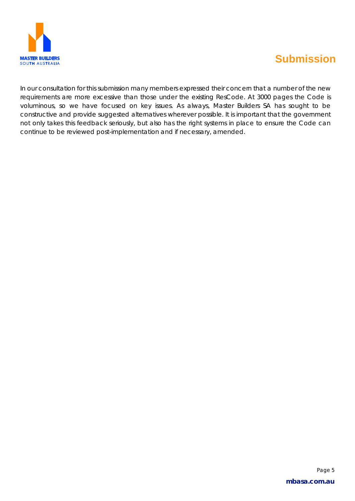

In our consultation for this submission many members expressed their concern that a number of the new requirements are more excessive than those under the existing ResCode. At 3000 pages the Code is voluminous, so we have focused on key issues. As always, Master Builders SA has sought to be constructive and provide suggested alternatives wherever possible. It is important that the government not only takes this feedback seriously, but also has the right systems in place to ensure the Code can continue to be reviewed post-implementation and if necessary, amended.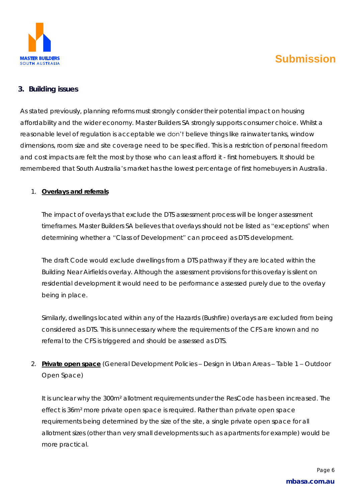

### <span id="page-5-0"></span>**3. Building issues**

As stated previously, planning reforms must strongly consider their potential impact on housing affordability and the wider economy. Master Builders SA strongly supports consumer choice. Whilst a reasonable level of regulation is acceptable we don't believe things like rainwater tanks, window dimensions, room size and site coverage need to be specified. This is a restriction of personal freedom and cost impacts are felt the most by those who can least afford it - first homebuyers. It should be remembered that South Australia's market has the lowest percentage of first homebuyers in Australia.

#### 1. **Overlays and referrals**

The impact of overlays that exclude the DTS assessment process will be longer assessment timeframes. Master Builders SA believes that overlays should not be listed as "exceptions" when determining whether a "Class of Development" can proceed as DTS development.

The draft Code would exclude dwellings from a DTS pathway if they are located within the Building Near Airfields overlay. Although the assessment provisions for this overlay is silent on residential development it would need to be performance assessed purely due to the overlay being in place.

Similarly, dwellings located within any of the Hazards (Bushfire) overlays are excluded from being considered as DTS. This is unnecessary where the requirements of the CFS are known and no referral to the CFS is triggered and should be assessed as DTS.

2. **Private open space** (General Development Policies – Design in Urban Areas – Table 1 – Outdoor Open Space)

It is unclear why the 300m² allotment requirements under the ResCode has been increased. The effect is 36m² more private open space is required. Rather than private open space requirements being determined by the size of the site, a single private open space for all allotment sizes (other than very small developments such as apartments for example) would be more practical.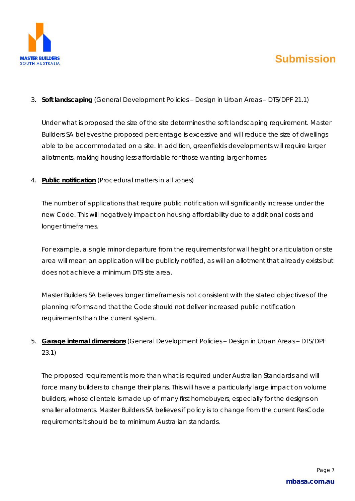

### 3. **Soft landscaping** (General Development Policies – Design in Urban Areas – DTS/DPF 21.1)

Under what is proposed the size of the site determines the soft landscaping requirement. Master Builders SA believes the proposed percentage is excessive and will reduce the size of dwellings able to be accommodated on a site. In addition, greenfields developments will require larger allotments, making housing less affordable for those wanting larger homes.

4. **Public notification** (Procedural matters in all zones)

The number of applications that require public notification will significantly increase under the new Code. This will negatively impact on housing affordability due to additional costs and longer timeframes.

For example, a single minor departure from the requirements for wall height or articulation or site area will mean an application will be publicly notified, as will an allotment that already exists but does not achieve a minimum DTS site area.

Master Builders SA believes longer timeframes is not consistent with the stated objectives of the planning reforms and that the Code should not deliver increased public notification requirements than the current system.

5. **Garage internal dimensions** (General Development Policies – Design in Urban Areas – DTS/DPF 23.1)

The proposed requirement is more than what is required under Australian Standards and will force many builders to change their plans. This will have a particularly large impact on volume builders, whose clientele is made up of many first homebuyers, especially for the designs on smaller allotments. Master Builders SA believes if policy is to change from the current ResCode requirements it should be to minimum Australian standards.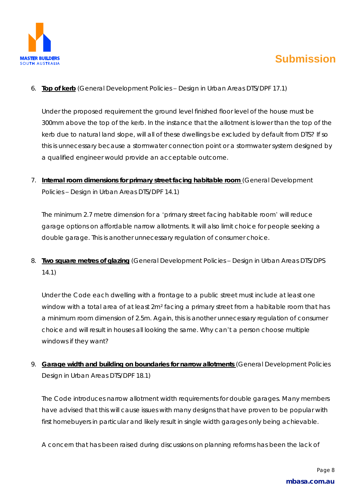

6. **Top of kerb** (General Development Policies – Design in Urban Areas DTS/DPF 17.1)

Under the proposed requirement the ground level finished floor level of the house must be 300mm above the top of the kerb. In the instance that the allotment is lower than the top of the kerb due to natural land slope, will all of these dwellings be excluded by default from DTS? If so this is unnecessary because a stormwater connection point or a stormwater system designed by a qualified engineer would provide an acceptable outcome.

7. **Internal room dimensions for primary street facing habitable room** (General Development Policies – Design in Urban Areas DTS/DPF 14.1)

The minimum 2.7 metre dimension for a 'primary street facing habitable room' will reduce garage options on affordable narrow allotments. It will also limit choice for people seeking a double garage. This is another unnecessary regulation of consumer choice.

8. **Two square metres of glazing** (General Development Policies – Design in Urban Areas DTS/DPS 14.1)

Under the Code each dwelling with a frontage to a public street must include at least one window with a total area of at least 2m<sup>2</sup> facing a primary street from a habitable room that has a minimum room dimension of 2.5m. Again, this is another unnecessary regulation of consumer choice and will result in houses all looking the same. Why can't a person choose multiple windows if they want?

9. **Garage width and building on boundaries for narrow allotments** (General Development Policies Design in Urban Areas DTS/DPF 18.1)

The Code introduces narrow allotment width requirements for double garages. Many members have advised that this will cause issues with many designs that have proven to be popular with first homebuyers in particular and likely result in single width garages only being achievable.

A concern that has been raised during discussions on planning reforms has been the lack of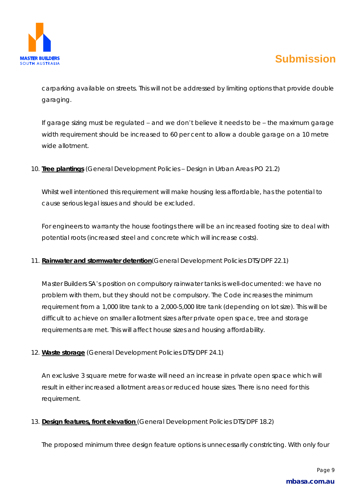

carparking available on streets. This will not be addressed by limiting options that provide double garaging.

If garage sizing must be regulated – and we don't believe it needs to be – the maximum garage width requirement should be increased to 60 per cent to allow a double garage on a 10 metre wide allotment.

10. **Tree plantings** (General Development Policies – Design in Urban Areas PO 21.2)

Whilst well intentioned this requirement will make housing less affordable, has the potential to cause serious legal issues and should be excluded.

For engineers to warranty the house footings there will be an increased footing size to deal with potential roots (increased steel and concrete which will increase costs).

11. **Rainwater and stormwater detention**(General Development Policies DTS/DPF 22.1)

Master Builders SA's position on compulsory rainwater tanks is well-documented: we have no problem with them, but they should not be compulsory. The Code increases the minimum requirement from a 1,000 litre tank to a 2,000-5,000 litre tank (depending on lot size). This will be difficult to achieve on smaller allotment sizes after private open space, tree and storage requirements are met. This will affect house sizes and housing affordability.

12. **Waste storage** (General Development Policies DTS/DPF 24.1)

An exclusive 3 square metre for waste will need an increase in private open space which will result in either increased allotment areas or reduced house sizes. There is no need for this requirement.

13. **Design features, front elevation** (General Development Policies DTS/DPF 18.2)

The proposed minimum three design feature options is unnecessarily constricting. With only four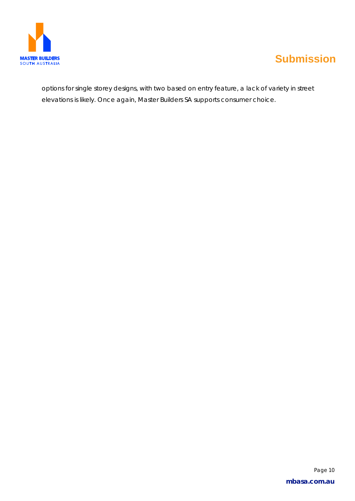

options for single storey designs, with two based on entry feature, a lack of variety in street elevations is likely. Once again, Master Builders SA supports consumer choice.